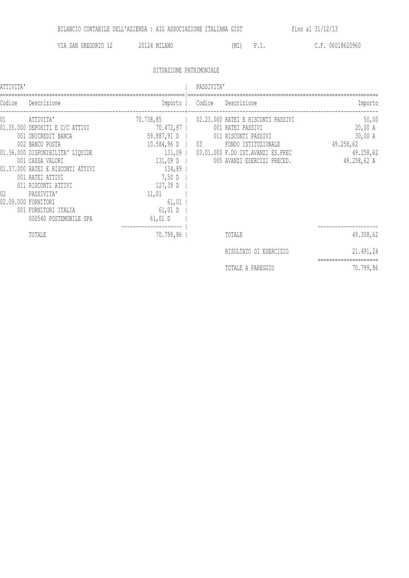VIA SAN GREGORIO 12 20124 MILANO (MI) P.I. C.F. 06018620960

## SITUAZIONE PATRIMONIALE

| ATTIVITA' |                                                                                                                                                                                                                                                                                                                       |                                                                                                                                          | PASSIVITA'                                                                                                                                                                                      |                                                                      |  |
|-----------|-----------------------------------------------------------------------------------------------------------------------------------------------------------------------------------------------------------------------------------------------------------------------------------------------------------------------|------------------------------------------------------------------------------------------------------------------------------------------|-------------------------------------------------------------------------------------------------------------------------------------------------------------------------------------------------|----------------------------------------------------------------------|--|
| Codice    | Descrizione                                                                                                                                                                                                                                                                                                           |                                                                                                                                          | Importo   Codice Descrizione                                                                                                                                                                    | Importo                                                              |  |
| 01<br>02  | ATTIVITA'<br>01.35.000 DEPOSITI E C/C ATTIVI<br>001 UNICREDIT BANCA<br>002 BANCO POSTA<br>01.36.000 DISPONIBILITA' LIQUIDE<br>001 CASSA VALORI<br>01.37.000 RATEI E RISCONTI ATTIVI<br>001 RATEI ATTIVI<br>011 RISCONTI ATTIVI<br>PASSIVITA'<br>02.09.000 FORNITORI<br>001 FORNITORI ITALIA<br>000540 POSTEMOBILE SPA | 70.472,87<br>59.887,91 D  <br>$10.584,96 D$   03<br>$131,09$ D  <br>134,89<br>7,50 D<br>127,39 D<br>11,01<br>61,01<br>61,01 D<br>61,01 D | 70.738,85   02.23.000 RATEI E RISCONTI PASSIVI<br>001 RATEI PASSIVI<br>011 RISCONTI PASSIVI<br>FONDO ISTITUZIONALE<br>131,09   03.01.000 F.DO IST.AVANZI ES.PREC<br>005 AVANZI ESERCIZI PRECED. | 50,00<br>20,00 A<br>30,00 A<br>49.258,62<br>49.258,62<br>49.258,62 A |  |
|           | TOTALE                                                                                                                                                                                                                                                                                                                | 70.799,86                                                                                                                                | TOTALE                                                                                                                                                                                          | 49.308,62                                                            |  |
|           |                                                                                                                                                                                                                                                                                                                       |                                                                                                                                          | RISULTATO DI ESERCIZIO                                                                                                                                                                          | 21.491,24                                                            |  |
|           |                                                                                                                                                                                                                                                                                                                       |                                                                                                                                          | TOTALE A PAREGGIO                                                                                                                                                                               | 70.799,86                                                            |  |